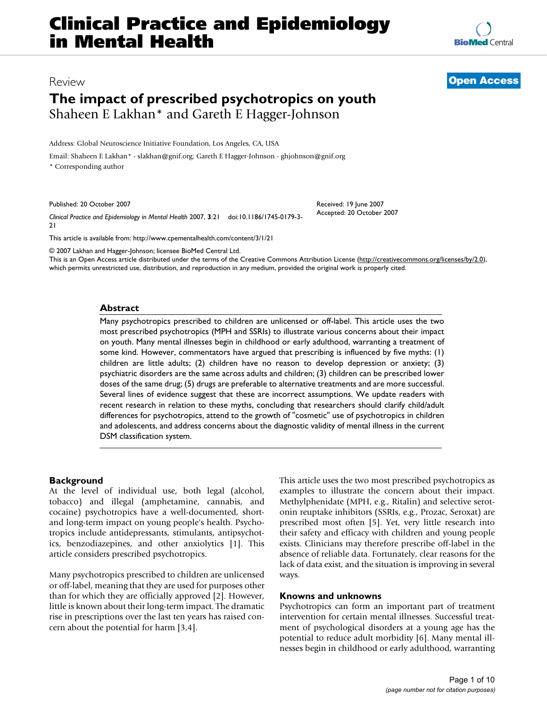# **Clinical Practice and Epidemiology in Mental Health**

**[BioMed](http://www.biomedcentral.com/)** Central

## Review **[Open Access](http://www.biomedcentral.com/info/about/charter/)**

# **The impact of prescribed psychotropics on youth** Shaheen E Lakhan\* and Gareth E Hagger-Johnson

Address: Global Neuroscience Initiative Foundation, Los Angeles, CA, USA

Email: Shaheen E Lakhan\* - slakhan@gnif.org; Gareth E Hagger-Johnson - ghjohnson@gnif.org

\* Corresponding author

Published: 20 October 2007

*Clinical Practice and Epidemiology in Mental Health* 2007, **3**:21 doi:10.1186/1745-0179-3- 21

[This article is available from: http://www.cpementalhealth.com/content/3/1/21](http://www.cpementalhealth.com/content/3/1/21)

© 2007 Lakhan and Hagger-Johnson; licensee BioMed Central Ltd.

This is an Open Access article distributed under the terms of the Creative Commons Attribution License [\(http://creativecommons.org/licenses/by/2.0\)](http://creativecommons.org/licenses/by/2.0), which permits unrestricted use, distribution, and reproduction in any medium, provided the original work is properly cited.

Received: 19 June 2007 Accepted: 20 October 2007

#### **Abstract**

Many psychotropics prescribed to children are unlicensed or off-label. This article uses the two most prescribed psychotropics (MPH and SSRIs) to illustrate various concerns about their impact on youth. Many mental illnesses begin in childhood or early adulthood, warranting a treatment of some kind. However, commentators have argued that prescribing is influenced by five myths: (1) children are little adults; (2) children have no reason to develop depression or anxiety; (3) psychiatric disorders are the same across adults and children; (3) children can be prescribed lower doses of the same drug; (5) drugs are preferable to alternative treatments and are more successful. Several lines of evidence suggest that these are incorrect assumptions. We update readers with recent research in relation to these myths, concluding that researchers should clarify child/adult differences for psychotropics, attend to the growth of "cosmetic" use of psychotropics in children and adolescents, and address concerns about the diagnostic validity of mental illness in the current DSM classification system.

#### **Background**

At the level of individual use, both legal (alcohol, tobacco) and illegal (amphetamine, cannabis, and cocaine) psychotropics have a well-documented, shortand long-term impact on young people's health. Psychotropics include antidepressants, stimulants, antipsychotics, benzodiazepines, and other anxiolytics [1]. This article considers prescribed psychotropics.

Many psychotropics prescribed to children are unlicensed or off-label, meaning that they are used for purposes other than for which they are officially approved [2]. However, little is known about their long-term impact. The dramatic rise in prescriptions over the last ten years has raised concern about the potential for harm [3,4].

This article uses the two most prescribed psychotropics as examples to illustrate the concern about their impact. Methylphenidate (MPH, e.g., Ritalin) and selective serotonin reuptake inhibitors (SSRIs, e.g., Prozac, Seroxat) are prescribed most often [5]. Yet, very little research into their safety and efficacy with children and young people exists. Clinicians may therefore prescribe off-label in the absence of reliable data. Fortunately, clear reasons for the lack of data exist, and the situation is improving in several ways.

#### **Knowns and unknowns**

Psychotropics can form an important part of treatment intervention for certain mental illnesses. Successful treatment of psychological disorders at a young age has the potential to reduce adult morbidity [6]. Many mental illnesses begin in childhood or early adulthood, warranting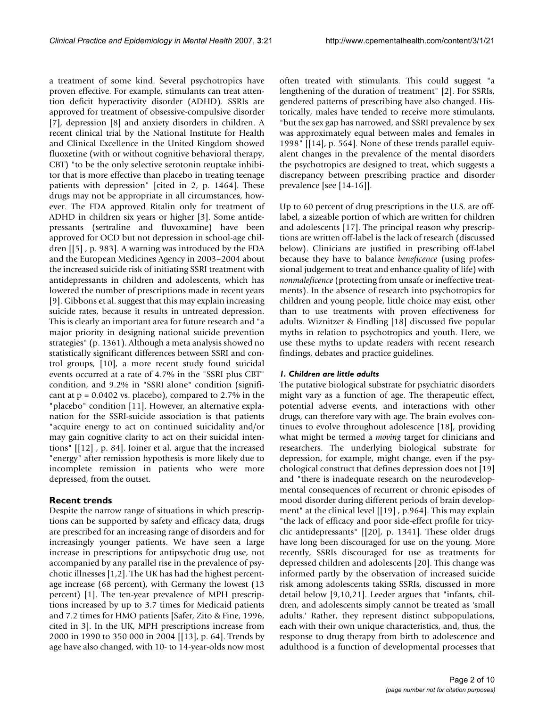a treatment of some kind. Several psychotropics have proven effective. For example, stimulants can treat attention deficit hyperactivity disorder (ADHD). SSRIs are approved for treatment of obsessive-compulsive disorder [7], depression [8] and anxiety disorders in children. A recent clinical trial by the National Institute for Health and Clinical Excellence in the United Kingdom showed fluoxetine (with or without cognitive behavioral therapy, CBT) "to be the only selective serotonin reuptake inhibitor that is more effective than placebo in treating teenage patients with depression" [cited in 2, p. 1464]. These drugs may not be appropriate in all circumstances, however. The FDA approved Ritalin only for treatment of ADHD in children six years or higher [3]. Some antidepressants (sertraline and fluvoxamine) have been approved for OCD but not depression in school-age children [[5] , p. 983]. A warning was introduced by the FDA and the European Medicines Agency in 2003–2004 about the increased suicide risk of initiating SSRI treatment with antidepressants in children and adolescents, which has lowered the number of prescriptions made in recent years [9]. Gibbons et al. suggest that this may explain increasing suicide rates, because it results in untreated depression. This is clearly an important area for future research and "a major priority in designing national suicide prevention strategies" (p. 1361). Although a meta analysis showed no statistically significant differences between SSRI and control groups, [10], a more recent study found suicidal events occurred at a rate of 4.7% in the "SSRI plus CBT" condition, and 9.2% in "SSRI alone" condition (significant at  $p = 0.0402$  vs. placebo), compared to 2.7% in the "placebo" condition [11]. However, an alternative explanation for the SSRI-suicide association is that patients "acquire energy to act on continued suicidality and/or may gain cognitive clarity to act on their suicidal intentions" [[12] , p. 84]. Joiner et al. argue that the increased "energy" after remission hypothesis is more likely due to incomplete remission in patients who were more depressed, from the outset.

### **Recent trends**

Despite the narrow range of situations in which prescriptions can be supported by safety and efficacy data, drugs are prescribed for an increasing range of disorders and for increasingly younger patients. We have seen a large increase in prescriptions for antipsychotic drug use, not accompanied by any parallel rise in the prevalence of psychotic illnesses [1,2]. The UK has had the highest percentage increase (68 percent), with Germany the lowest (13 percent) [1]. The ten-year prevalence of MPH prescriptions increased by up to 3.7 times for Medicaid patients and 7.2 times for HMO patients [Safer, Zito & Fine, 1996, cited in 3]. In the UK, MPH prescriptions increase from 2000 in 1990 to 350 000 in 2004 [[13], p. 64]. Trends by age have also changed, with 10- to 14-year-olds now most

often treated with stimulants. This could suggest "a lengthening of the duration of treatment" [2]. For SSRIs, gendered patterns of prescribing have also changed. Historically, males have tended to receive more stimulants, "but the sex gap has narrowed, and SSRI prevalence by sex was approximately equal between males and females in 1998" [[14], p. 564]. None of these trends parallel equivalent changes in the prevalence of the mental disorders the psychotropics are designed to treat, which suggests a discrepancy between prescribing practice and disorder prevalence [see [14-16]].

Up to 60 percent of drug prescriptions in the U.S. are offlabel, a sizeable portion of which are written for children and adolescents [17]. The principal reason why prescriptions are written off-label is the lack of research (discussed below). Clinicians are justified in prescribing off-label because they have to balance *beneficence* (using professional judgement to treat and enhance quality of life) with *nonmaleficence* (protecting from unsafe or ineffective treatments). In the absence of research into psychotropics for children and young people, little choice may exist, other than to use treatments with proven effectiveness for adults. Wiznitzer & Findling [18] discussed five popular myths in relation to psychotropics and youth. Here, we use these myths to update readers with recent research findings, debates and practice guidelines.

#### *1. Children are little adults*

The putative biological substrate for psychiatric disorders might vary as a function of age. The therapeutic effect, potential adverse events, and interactions with other drugs, can therefore vary with age. The brain evolves continues to evolve throughout adolescence [18], providing what might be termed a *moving* target for clinicians and researchers. The underlying biological substrate for depression, for example, might change, even if the psychological construct that defines depression does not [19] and "there is inadequate research on the neurodevelopmental consequences of recurrent or chronic episodes of mood disorder during different periods of brain development" at the clinical level [[19] , p.964]. This may explain "the lack of efficacy and poor side-effect profile for tricyclic antidepressants" [[20], p. 1341]. These older drugs have long been discouraged for use on the young. More recently, SSRIs discouraged for use as treatments for depressed children and adolescents [20]. This change was informed partly by the observation of increased suicide risk among adolescents taking SSRIs, discussed in more detail below [9,10,21]. Leeder argues that "infants, children, and adolescents simply cannot be treated as 'small adults.' Rather, they represent distinct subpopulations, each with their own unique characteristics, and, thus, the response to drug therapy from birth to adolescence and adulthood is a function of developmental processes that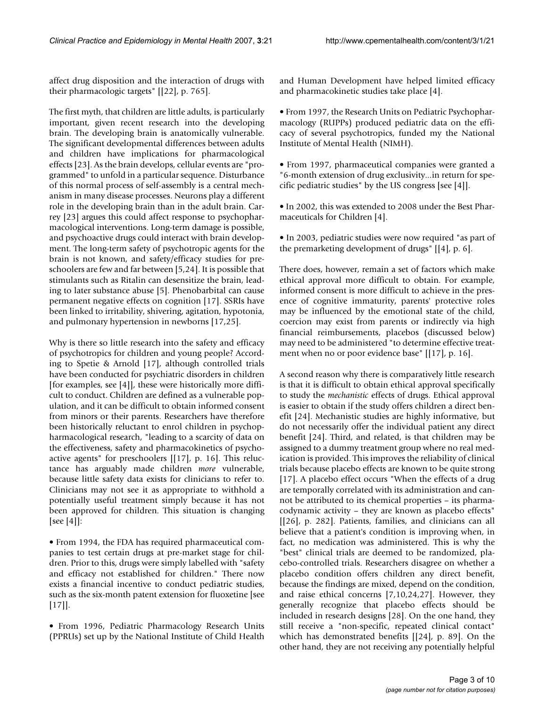affect drug disposition and the interaction of drugs with their pharmacologic targets" [[22], p. 765].

The first myth, that children are little adults, is particularly important, given recent research into the developing brain. The developing brain is anatomically vulnerable. The significant developmental differences between adults and children have implications for pharmacological effects [23]. As the brain develops, cellular events are "programmed" to unfold in a particular sequence. Disturbance of this normal process of self-assembly is a central mechanism in many disease processes. Neurons play a different role in the developing brain than in the adult brain. Carrey [23] argues this could affect response to psychopharmacological interventions. Long-term damage is possible, and psychoactive drugs could interact with brain development. The long-term safety of psychotropic agents for the brain is not known, and safety/efficacy studies for preschoolers are few and far between [5,24]. It is possible that stimulants such as Ritalin can desensitize the brain, leading to later substance abuse [5]. Phenobarbital can cause permanent negative effects on cognition [17]. SSRIs have been linked to irritability, shivering, agitation, hypotonia, and pulmonary hypertension in newborns [17,25].

Why is there so little research into the safety and efficacy of psychotropics for children and young people? According to Spetie & Arnold [17], although controlled trials have been conducted for psychiatric disorders in children [for examples, see [4]], these were historically more difficult to conduct. Children are defined as a vulnerable population, and it can be difficult to obtain informed consent from minors or their parents. Researchers have therefore been historically reluctant to enrol children in psychopharmacological research, "leading to a scarcity of data on the effectiveness, safety and pharmacokinetics of psychoactive agents" for preschoolers [[17], p. 16]. This reluctance has arguably made children *more* vulnerable, because little safety data exists for clinicians to refer to. Clinicians may not see it as appropriate to withhold a potentially useful treatment simply because it has not been approved for children. This situation is changing [see [4]]:

• From 1994, the FDA has required pharmaceutical companies to test certain drugs at pre-market stage for children. Prior to this, drugs were simply labelled with "safety and efficacy not established for children." There now exists a financial incentive to conduct pediatric studies, such as the six-month patent extension for fluoxetine [see  $[17]$ ].

• From 1996, Pediatric Pharmacology Research Units (PPRUs) set up by the National Institute of Child Health

and Human Development have helped limited efficacy and pharmacokinetic studies take place [4].

• From 1997, the Research Units on Pediatric Psychopharmacology (RUPPs) produced pediatric data on the efficacy of several psychotropics, funded my the National Institute of Mental Health (NIMH).

• From 1997, pharmaceutical companies were granted a "6-month extension of drug exclusivity...in return for specific pediatric studies" by the US congress [see [4]].

• In 2002, this was extended to 2008 under the Best Pharmaceuticals for Children [4].

• In 2003, pediatric studies were now required "as part of the premarketing development of drugs" [[4], p. 6].

There does, however, remain a set of factors which make ethical approval more difficult to obtain. For example, informed consent is more difficult to achieve in the presence of cognitive immaturity, parents' protective roles may be influenced by the emotional state of the child, coercion may exist from parents or indirectly via high financial reimbursements, placebos (discussed below) may need to be administered "to determine effective treatment when no or poor evidence base" [[17], p. 16].

A second reason why there is comparatively little research is that it is difficult to obtain ethical approval specifically to study the *mechanistic* effects of drugs. Ethical approval is easier to obtain if the study offers children a direct benefit [24]. Mechanistic studies are highly informative, but do not necessarily offer the individual patient any direct benefit [24]. Third, and related, is that children may be assigned to a dummy treatment group where no real medication is provided. This improves the reliability of clinical trials because placebo effects are known to be quite strong [17]. A placebo effect occurs "When the effects of a drug are temporally correlated with its administration and cannot be attributed to its chemical properties – its pharmacodynamic activity – they are known as placebo effects" [[26], p. 282]. Patients, families, and clinicians can all believe that a patient's condition is improving when, in fact, no medication was administered. This is why the "best" clinical trials are deemed to be randomized, placebo-controlled trials. Researchers disagree on whether a placebo condition offers children any direct benefit, because the findings are mixed, depend on the condition, and raise ethical concerns [7,10,24,27]. However, they generally recognize that placebo effects should be included in research designs [28]. On the one hand, they still receive a "non-specific, repeated clinical contact" which has demonstrated benefits [[24], p. 89]. On the other hand, they are not receiving any potentially helpful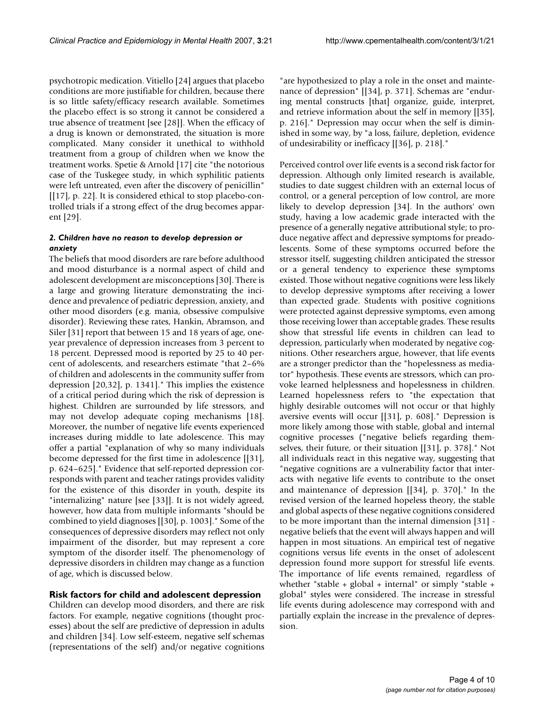psychotropic medication. Vitiello [24] argues that placebo conditions are more justifiable for children, because there is so little safety/efficacy research available. Sometimes the placebo effect is so strong it cannot be considered a true absence of treatment [see [28]]. When the efficacy of a drug is known or demonstrated, the situation is more complicated. Many consider it unethical to withhold treatment from a group of children when we know the treatment works. Spetie & Arnold [17] cite "the notorious case of the Tuskegee study, in which syphilitic patients were left untreated, even after the discovery of penicillin" [[17], p. 22]. It is considered ethical to stop placebo-controlled trials if a strong effect of the drug becomes apparent [29].

#### *2. Children have no reason to develop depression or anxiety*

The beliefs that mood disorders are rare before adulthood and mood disturbance is a normal aspect of child and adolescent development are misconceptions [30]. There is a large and growing literature demonstrating the incidence and prevalence of pediatric depression, anxiety, and other mood disorders (e.g. mania, obsessive compulsive disorder). Reviewing these rates, Hankin, Abramson, and Siler [31] report that between 15 and 18 years of age, oneyear prevalence of depression increases from 3 percent to 18 percent. Depressed mood is reported by 25 to 40 percent of adolescents, and researchers estimate "that 2–6% of children and adolescents in the community suffer from depression [20,32], p. 1341]." This implies the existence of a critical period during which the risk of depression is highest. Children are surrounded by life stressors, and may not develop adequate coping mechanisms [18]. Moreover, the number of negative life events experienced increases during middle to late adolescence. This may offer a partial "explanation of why so many individuals become depressed for the first time in adolescence [[31], p. 624–625]." Evidence that self-reported depression corresponds with parent and teacher ratings provides validity for the existence of this disorder in youth, despite its "internalizing" nature [see [33]]. It is not widely agreed, however, how data from multiple informants "should be combined to yield diagnoses [[30], p. 1003]." Some of the consequences of depressive disorders may reflect not only impairment of the disorder, but may represent a core symptom of the disorder itself. The phenomenology of depressive disorders in children may change as a function of age, which is discussed below.

#### **Risk factors for child and adolescent depression**

Children can develop mood disorders, and there are risk factors. For example, negative cognitions (thought processes) about the self are predictive of depression in adults and children [34]. Low self-esteem, negative self schemas (representations of the self) and/or negative cognitions

"are hypothesized to play a role in the onset and maintenance of depression" [[34], p. 371]. Schemas are "enduring mental constructs [that] organize, guide, interpret, and retrieve information about the self in memory [[35], p. 216]." Depression may occur when the self is diminished in some way, by "a loss, failure, depletion, evidence of undesirability or inefficacy [[36], p. 218]."

Perceived control over life events is a second risk factor for depression. Although only limited research is available, studies to date suggest children with an external locus of control, or a general perception of low control, are more likely to develop depression [34]. In the authors' own study, having a low academic grade interacted with the presence of a generally negative attributional style; to produce negative affect and depressive symptoms for preadolescents. Some of these symptoms occurred before the stressor itself, suggesting children anticipated the stressor or a general tendency to experience these symptoms existed. Those without negative cognitions were less likely to develop depressive symptoms after receiving a lower than expected grade. Students with positive cognitions were protected against depressive symptoms, even among those receiving lower than acceptable grades. These results show that stressful life events in children can lead to depression, particularly when moderated by negative cognitions. Other researchers argue, however, that life events are a stronger predictor than the "hopelessness as mediator" hypothesis. These events are stressors, which can provoke learned helplessness and hopelessness in children. Learned hopelessness refers to "the expectation that highly desirable outcomes will not occur or that highly aversive events will occur [[31], p. 608]." Depression is more likely among those with stable, global and internal cognitive processes ("negative beliefs regarding themselves, their future, or their situation [[31], p. 378]." Not all individuals react in this negative way, suggesting that "negative cognitions are a vulnerability factor that interacts with negative life events to contribute to the onset and maintenance of depression [[34], p. 370]." In the revised version of the learned hopeless theory, the stable and global aspects of these negative cognitions considered to be more important than the internal dimension [31] negative beliefs that the event will always happen and will happen in most situations. An empirical test of negative cognitions versus life events in the onset of adolescent depression found more support for stressful life events. The importance of life events remained, regardless of whether "stable + global + internal" or simply "stable + global" styles were considered. The increase in stressful life events during adolescence may correspond with and partially explain the increase in the prevalence of depression.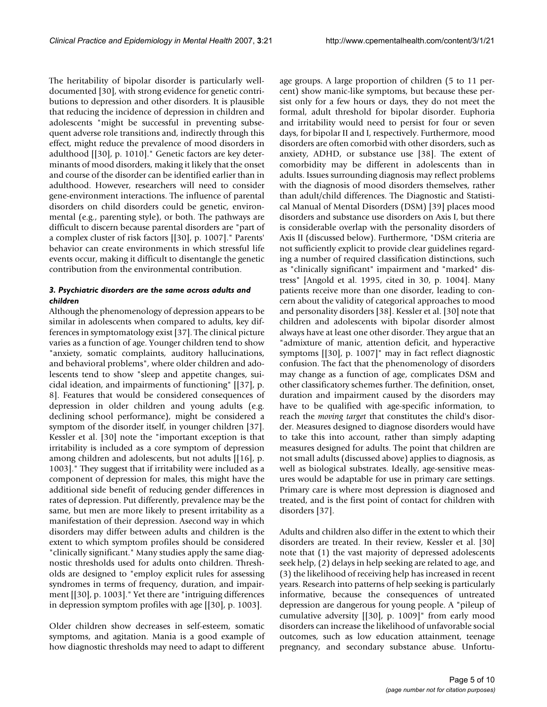The heritability of bipolar disorder is particularly welldocumented [30], with strong evidence for genetic contributions to depression and other disorders. It is plausible that reducing the incidence of depression in children and adolescents "might be successful in preventing subsequent adverse role transitions and, indirectly through this effect, might reduce the prevalence of mood disorders in adulthood [[30], p. 1010]." Genetic factors are key determinants of mood disorders, making it likely that the onset and course of the disorder can be identified earlier than in adulthood. However, researchers will need to consider gene-environment interactions. The influence of parental disorders on child disorders could be genetic, environmental (e.g., parenting style), or both. The pathways are difficult to discern because parental disorders are "part of a complex cluster of risk factors [[30], p. 1007]." Parents' behavior can create environments in which stressful life events occur, making it difficult to disentangle the genetic contribution from the environmental contribution.

#### *3. Psychiatric disorders are the same across adults and children*

Although the phenomenology of depression appears to be similar in adolescents when compared to adults, key differences in symptomatology exist [37]. The clinical picture varies as a function of age. Younger children tend to show "anxiety, somatic complaints, auditory hallucinations, and behavioral problems", where older children and adolescents tend to show "sleep and appetite changes, suicidal ideation, and impairments of functioning" [[37], p. 8]. Features that would be considered consequences of depression in older children and young adults (e.g. declining school performance), might be considered a symptom of the disorder itself, in younger children [37]. Kessler et al. [30] note the "important exception is that irritability is included as a core symptom of depression among children and adolescents, but not adults [[16], p. 1003]." They suggest that if irritability were included as a component of depression for males, this might have the additional side benefit of reducing gender differences in rates of depression. Put differently, prevalence may be the same, but men are more likely to present irritability as a manifestation of their depression. Asecond way in which disorders may differ between adults and children is the extent to which symptom profiles should be considered "clinically significant." Many studies apply the same diagnostic thresholds used for adults onto children. Thresholds are designed to "employ explicit rules for assessing syndromes in terms of frequency, duration, and impairment [[30], p. 1003]." Yet there are "intriguing differences in depression symptom profiles with age [[30], p. 1003].

Older children show decreases in self-esteem, somatic symptoms, and agitation. Mania is a good example of how diagnostic thresholds may need to adapt to different

age groups. A large proportion of children (5 to 11 percent) show manic-like symptoms, but because these persist only for a few hours or days, they do not meet the formal, adult threshold for bipolar disorder. Euphoria and irritability would need to persist for four or seven days, for bipolar II and I, respectively. Furthermore, mood disorders are often comorbid with other disorders, such as anxiety, ADHD, or substance use [38]. The extent of comorbidity may be different in adolescents than in adults. Issues surrounding diagnosis may reflect problems with the diagnosis of mood disorders themselves, rather than adult/child differences. The Diagnostic and Statistical Manual of Mental Disorders (DSM) [39] places mood disorders and substance use disorders on Axis I, but there is considerable overlap with the personality disorders of Axis II (discussed below). Furthermore, "DSM criteria are not sufficiently explicit to provide clear guidelines regarding a number of required classification distinctions, such as "clinically significant" impairment and "marked" distress" [Angold et al. 1995, cited in 30, p. 1004]. Many patients receive more than one disorder, leading to concern about the validity of categorical approaches to mood and personality disorders [38]. Kessler et al. [30] note that children and adolescents with bipolar disorder almost always have at least one other disorder. They argue that an "admixture of manic, attention deficit, and hyperactive symptoms [[30], p. 1007]" may in fact reflect diagnostic confusion. The fact that the phenomenology of disorders may change as a function of age, complicates DSM and other classificatory schemes further. The definition, onset, duration and impairment caused by the disorders may have to be qualified with age-specific information, to reach the *moving target* that constitutes the child's disorder. Measures designed to diagnose disorders would have to take this into account, rather than simply adapting measures designed for adults. The point that children are not small adults (discussed above) applies to diagnosis, as well as biological substrates. Ideally, age-sensitive measures would be adaptable for use in primary care settings. Primary care is where most depression is diagnosed and treated, and is the first point of contact for children with disorders [37].

Adults and children also differ in the extent to which their disorders are treated. In their review, Kessler et al. [30] note that (1) the vast majority of depressed adolescents seek help, (2) delays in help seeking are related to age, and (3) the likelihood of receiving help has increased in recent years. Research into patterns of help seeking is particularly informative, because the consequences of untreated depression are dangerous for young people. A "pileup of cumulative adversity [[30], p. 1009]" from early mood disorders can increase the likelihood of unfavorable social outcomes, such as low education attainment, teenage pregnancy, and secondary substance abuse. Unfortu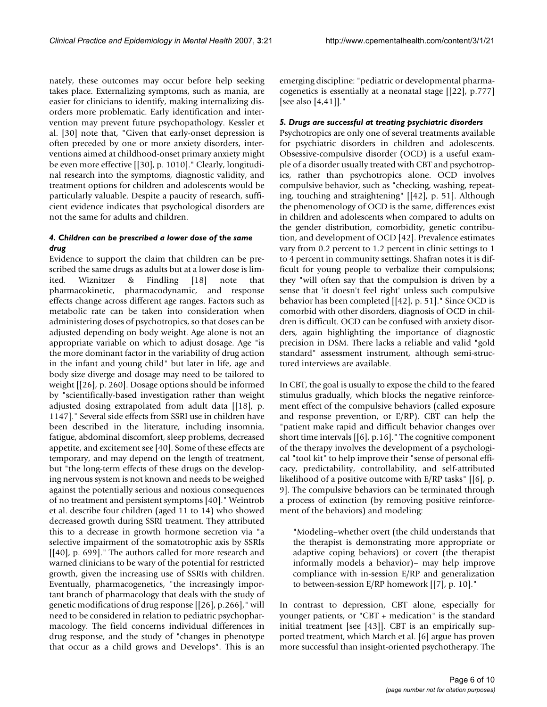nately, these outcomes may occur before help seeking takes place. Externalizing symptoms, such as mania, are easier for clinicians to identify, making internalizing disorders more problematic. Early identification and intervention may prevent future psychopathology. Kessler et al. [30] note that, "Given that early-onset depression is often preceded by one or more anxiety disorders, interventions aimed at childhood-onset primary anxiety might be even more effective [[30], p. 1010]." Clearly, longitudinal research into the symptoms, diagnostic validity, and treatment options for children and adolescents would be particularly valuable. Despite a paucity of research, sufficient evidence indicates that psychological disorders are not the same for adults and children.

#### *4. Children can be prescribed a lower dose of the same drug*

Evidence to support the claim that children can be prescribed the same drugs as adults but at a lower dose is limited. Wiznitzer & Findling [18] note that pharmacokinetic, pharmacodynamic, and response effects change across different age ranges. Factors such as metabolic rate can be taken into consideration when administering doses of psychotropics, so that doses can be adjusted depending on body weight. Age alone is not an appropriate variable on which to adjust dosage. Age "is the more dominant factor in the variability of drug action in the infant and young child" but later in life, age and body size diverge and dosage may need to be tailored to weight [[26], p. 260]. Dosage options should be informed by "scientifically-based investigation rather than weight adjusted dosing extrapolated from adult data [[18], p. 1147]." Several side effects from SSRI use in children have been described in the literature, including insomnia, fatigue, abdominal discomfort, sleep problems, decreased appetite, and excitement see [40]. Some of these effects are temporary, and may depend on the length of treatment, but "the long-term effects of these drugs on the developing nervous system is not known and needs to be weighed against the potentially serious and noxious consequences of no treatment and persistent symptoms [40]." Weintrob et al. describe four children (aged 11 to 14) who showed decreased growth during SSRI treatment. They attributed this to a decrease in growth hormone secretion via "a selective impairment of the somatotrophic axis by SSRIs [[40], p. 699]." The authors called for more research and warned clinicians to be wary of the potential for restricted growth, given the increasing use of SSRIs with children. Eventually, pharmacogenetics, "the increasingly important branch of pharmacology that deals with the study of genetic modifications of drug response [[26], p.266]," will need to be considered in relation to pediatric psychopharmacology. The field concerns individual differences in drug response, and the study of "changes in phenotype that occur as a child grows and Develops". This is an

emerging discipline: "pediatric or developmental pharmacogenetics is essentially at a neonatal stage [[22], p.777] [see also [4,41]]."

#### *5. Drugs are successful at treating psychiatric disorders*

Psychotropics are only one of several treatments available for psychiatric disorders in children and adolescents. Obsessive-compulsive disorder (OCD) is a useful example of a disorder usually treated with CBT and psychotropics, rather than psychotropics alone. OCD involves compulsive behavior, such as "checking, washing, repeating, touching and straightening" [[42], p. 51]. Although the phenomenology of OCD is the same, differences exist in children and adolescents when compared to adults on the gender distribution, comorbidity, genetic contribution, and development of OCD [42]. Prevalence estimates vary from 0.2 percent to 1.2 percent in clinic settings to 1 to 4 percent in community settings. Shafran notes it is difficult for young people to verbalize their compulsions; they "will often say that the compulsion is driven by a sense that 'it doesn't feel right' unless such compulsive behavior has been completed [[42], p. 51]." Since OCD is comorbid with other disorders, diagnosis of OCD in children is difficult. OCD can be confused with anxiety disorders, again highlighting the importance of diagnostic precision in DSM. There lacks a reliable and valid "gold standard" assessment instrument, although semi-structured interviews are available.

In CBT, the goal is usually to expose the child to the feared stimulus gradually, which blocks the negative reinforcement effect of the compulsive behaviors (called exposure and response prevention, or E/RP). CBT can help the "patient make rapid and difficult behavior changes over short time intervals [[6], p.16]." The cognitive component of the therapy involves the development of a psychological "tool kit" to help improve their "sense of personal efficacy, predictability, controllability, and self-attributed likelihood of a positive outcome with E/RP tasks" [[6], p. 9]. The compulsive behaviors can be terminated through a process of extinction (by removing positive reinforcement of the behaviors) and modeling:

"Modeling–whether overt (the child understands that the therapist is demonstrating more appropriate or adaptive coping behaviors) or covert (the therapist informally models a behavior)– may help improve compliance with in-session E/RP and generalization to between-session E/RP homework [[7], p. 10]."

In contrast to depression, CBT alone, especially for younger patients, or "CBT + medication" is the standard initial treatment [see [43]]. CBT is an empirically supported treatment, which March et al. [6] argue has proven more successful than insight-oriented psychotherapy. The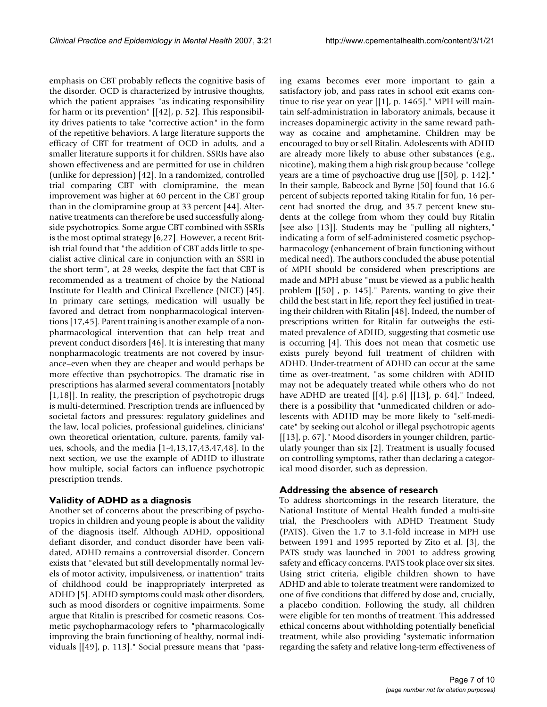emphasis on CBT probably reflects the cognitive basis of the disorder. OCD is characterized by intrusive thoughts, which the patient appraises "as indicating responsibility for harm or its prevention" [[42], p. 52]. This responsibility drives patients to take "corrective action" in the form of the repetitive behaviors. A large literature supports the efficacy of CBT for treatment of OCD in adults, and a smaller literature supports it for children. SSRIs have also shown effectiveness and are permitted for use in children (unlike for depression) [42]. In a randomized, controlled trial comparing CBT with clomipramine, the mean improvement was higher at 60 percent in the CBT group than in the clomipramine group at 33 percent [44]. Alternative treatments can therefore be used successfully alongside psychotropics. Some argue CBT combined with SSRIs is the most optimal strategy [6,27]. However, a recent British trial found that "the addition of CBT adds little to specialist active clinical care in conjunction with an SSRI in the short term", at 28 weeks, despite the fact that CBT is recommended as a treatment of choice by the National Institute for Health and Clinical Excellence (NICE) [45]. In primary care settings, medication will usually be favored and detract from nonpharmacological interventions [17,45]. Parent training is another example of a nonpharmacological intervention that can help treat and prevent conduct disorders [46]. It is interesting that many nonpharmacologic treatments are not covered by insurance–even when they are cheaper and would perhaps be more effective than psychotropics. The dramatic rise in prescriptions has alarmed several commentators [notably [1,18]]. In reality, the prescription of psychotropic drugs is multi-determined. Prescription trends are influenced by societal factors and pressures: regulatory guidelines and the law, local policies, professional guidelines, clinicians' own theoretical orientation, culture, parents, family values, schools, and the media [1-4,13,17,43,47,48]. In the next section, we use the example of ADHD to illustrate how multiple, social factors can influence psychotropic prescription trends.

#### **Validity of ADHD as a diagnosis**

Another set of concerns about the prescribing of psychotropics in children and young people is about the validity of the diagnosis itself. Although ADHD, oppositional defiant disorder, and conduct disorder have been validated, ADHD remains a controversial disorder. Concern exists that "elevated but still developmentally normal levels of motor activity, impulsiveness, or inattention" traits of childhood could be inappropriately interpreted as ADHD [5]. ADHD symptoms could mask other disorders, such as mood disorders or cognitive impairments. Some argue that Ritalin is prescribed for cosmetic reasons. Cosmetic psychopharmacology refers to "pharmacologically improving the brain functioning of healthy, normal individuals [[49], p. 113]." Social pressure means that "passing exams becomes ever more important to gain a satisfactory job, and pass rates in school exit exams continue to rise year on year [[1], p. 1465]." MPH will maintain self-administration in laboratory animals, because it increases dopaminergic activity in the same reward pathway as cocaine and amphetamine. Children may be encouraged to buy or sell Ritalin. Adolescents with ADHD are already more likely to abuse other substances (e.g., nicotine), making them a high risk group because "college years are a time of psychoactive drug use [[50], p. 142]." In their sample, Babcock and Byrne [50] found that 16.6 percent of subjects reported taking Ritalin for fun, 16 percent had snorted the drug, and 35.7 percent knew students at the college from whom they could buy Ritalin [see also [13]]. Students may be "pulling all nighters," indicating a form of self-administered cosmetic psychopharmacology (enhancement of brain functioning without medical need). The authors concluded the abuse potential of MPH should be considered when prescriptions are made and MPH abuse "must be viewed as a public health problem [[50] , p. 145]." Parents, wanting to give their child the best start in life, report they feel justified in treating their children with Ritalin [48]. Indeed, the number of prescriptions written for Ritalin far outweighs the estimated prevalence of ADHD, suggesting that cosmetic use is occurring [4]. This does not mean that cosmetic use exists purely beyond full treatment of children with ADHD. Under-treatment of ADHD can occur at the same time as over-treatment, "as some children with ADHD may not be adequately treated while others who do not have ADHD are treated [[4], p.6] [[13], p. 64]." Indeed, there is a possibility that "unmedicated children or adolescents with ADHD may be more likely to "self-medicate" by seeking out alcohol or illegal psychotropic agents [[13], p. 67]." Mood disorders in younger children, particularly younger than six [2]. Treatment is usually focused on controlling symptoms, rather than declaring a categorical mood disorder, such as depression.

#### **Addressing the absence of research**

To address shortcomings in the research literature, the National Institute of Mental Health funded a multi-site trial, the Preschoolers with ADHD Treatment Study (PATS). Given the 1.7 to 3.1-fold increase in MPH use between 1991 and 1995 reported by Zito et al. [3], the PATS study was launched in 2001 to address growing safety and efficacy concerns. PATS took place over six sites. Using strict criteria, eligible children shown to have ADHD and able to tolerate treatment were randomized to one of five conditions that differed by dose and, crucially, a placebo condition. Following the study, all children were eligible for ten months of treatment. This addressed ethical concerns about withholding potentially beneficial treatment, while also providing "systematic information regarding the safety and relative long-term effectiveness of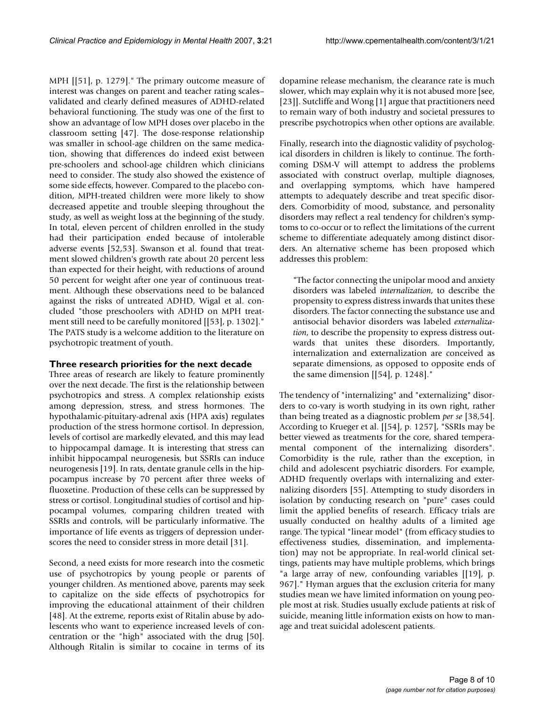MPH [[51], p. 1279]." The primary outcome measure of interest was changes on parent and teacher rating scales– validated and clearly defined measures of ADHD-related behavioral functioning. The study was one of the first to show an advantage of low MPH doses over placebo in the classroom setting [47]. The dose-response relationship was smaller in school-age children on the same medication, showing that differences do indeed exist between pre-schoolers and school-age children which clinicians need to consider. The study also showed the existence of some side effects, however. Compared to the placebo condition, MPH-treated children were more likely to show decreased appetite and trouble sleeping throughout the study, as well as weight loss at the beginning of the study. In total, eleven percent of children enrolled in the study had their participation ended because of intolerable adverse events [52,53]. Swanson et al. found that treatment slowed children's growth rate about 20 percent less than expected for their height, with reductions of around 50 percent for weight after one year of continuous treatment. Although these observations need to be balanced against the risks of untreated ADHD, Wigal et al. concluded "those preschoolers with ADHD on MPH treatment still need to be carefully monitored [[53], p. 1302]." The PATS study is a welcome addition to the literature on psychotropic treatment of youth.

#### **Three research priorities for the next decade**

Three areas of research are likely to feature prominently over the next decade. The first is the relationship between psychotropics and stress. A complex relationship exists among depression, stress, and stress hormones. The hypothalamic-pituitary-adrenal axis (HPA axis) regulates production of the stress hormone cortisol. In depression, levels of cortisol are markedly elevated, and this may lead to hippocampal damage. It is interesting that stress can inhibit hippocampal neurogenesis, but SSRIs can induce neurogenesis [19]. In rats, dentate granule cells in the hippocampus increase by 70 percent after three weeks of fluoxetine. Production of these cells can be suppressed by stress or cortisol. Longitudinal studies of cortisol and hippocampal volumes, comparing children treated with SSRIs and controls, will be particularly informative. The importance of life events as triggers of depression underscores the need to consider stress in more detail [31].

Second, a need exists for more research into the cosmetic use of psychotropics by young people or parents of younger children. As mentioned above, parents may seek to capitalize on the side effects of psychotropics for improving the educational attainment of their children [48]. At the extreme, reports exist of Ritalin abuse by adolescents who want to experience increased levels of concentration or the "high" associated with the drug [50]. Although Ritalin is similar to cocaine in terms of its dopamine release mechanism, the clearance rate is much slower, which may explain why it is not abused more [see, [23]]. Sutcliffe and Wong [1] argue that practitioners need to remain wary of both industry and societal pressures to prescribe psychotropics when other options are available.

Finally, research into the diagnostic validity of psychological disorders in children is likely to continue. The forthcoming DSM-V will attempt to address the problems associated with construct overlap, multiple diagnoses, and overlapping symptoms, which have hampered attempts to adequately describe and treat specific disorders. Comorbidity of mood, substance, and personality disorders may reflect a real tendency for children's symptoms to co-occur or to reflect the limitations of the current scheme to differentiate adequately among distinct disorders. An alternative scheme has been proposed which addresses this problem:

"The factor connecting the unipolar mood and anxiety disorders was labeled *internalization*, to describe the propensity to express distress inwards that unites these disorders. The factor connecting the substance use and antisocial behavior disorders was labeled *externalization*, to describe the propensity to express distress outwards that unites these disorders. Importantly, internalization and externalization are conceived as separate dimensions, as opposed to opposite ends of the same dimension  $[[54]$ , p. 1248]."

The tendency of "internalizing" and "externalizing" disorders to co-vary is worth studying in its own right, rather than being treated as a diagnostic problem *per se* [38,54]. According to Krueger et al. [[54], p. 1257], "SSRIs may be better viewed as treatments for the core, shared temperamental component of the internalizing disorders". Comorbidity is the rule, rather than the exception, in child and adolescent psychiatric disorders. For example, ADHD frequently overlaps with internalizing and externalizing disorders [55]. Attempting to study disorders in isolation by conducting research on "pure" cases could limit the applied benefits of research. Efficacy trials are usually conducted on healthy adults of a limited age range. The typical "linear model" (from efficacy studies to effectiveness studies, dissemination, and implementation) may not be appropriate. In real-world clinical settings, patients may have multiple problems, which brings "a large array of new, confounding variables [[19], p. 967]." Hyman argues that the exclusion criteria for many studies mean we have limited information on young people most at risk. Studies usually exclude patients at risk of suicide, meaning little information exists on how to manage and treat suicidal adolescent patients.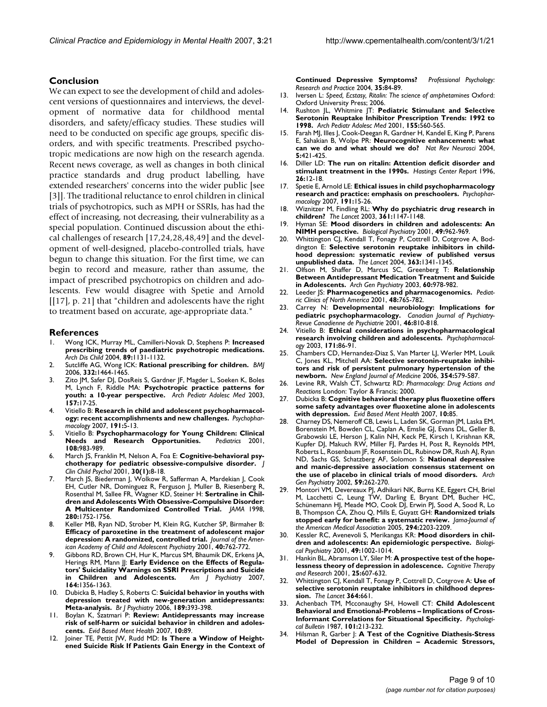#### **Conclusion**

We can expect to see the development of child and adolescent versions of questionnaires and interviews, the development of normative data for childhood mental disorders, and safety/efficacy studies. These studies will need to be conducted on specific age groups, specific disorders, and with specific treatments. Prescribed psychotropic medications are now high on the research agenda. Recent news coverage, as well as changes in both clinical practice standards and drug product labelling, have extended researchers' concerns into the wider public [see [3]]. The traditional reluctance to enrol children in clinical trials of psychotropics, such as MPH or SSRIs, has had the effect of increasing, not decreasing, their vulnerability as a special population. Continued discussion about the ethical challenges of research [17,24,28,48,49] and the development of well-designed, placebo-controlled trials, have begun to change this situation. For the first time, we can begin to record and measure, rather than assume, the impact of prescribed psychotropics on children and adolescents. Few would disagree with Spetie and Arnold [[17], p. 21] that "children and adolescents have the right to treatment based on accurate, age-appropriate data."

#### **References**

- 1. Wong ICK, Murray ML, Camilleri-Novak D, Stephens P: **[Increased](http://www.ncbi.nlm.nih.gov/entrez/query.fcgi?cmd=Retrieve&db=PubMed&dopt=Abstract&list_uids=15557050) [prescribing trends of paediatric psychotropic medications.](http://www.ncbi.nlm.nih.gov/entrez/query.fcgi?cmd=Retrieve&db=PubMed&dopt=Abstract&list_uids=15557050)** *Arch Dis Child* 2004, **89:**1131-1132.
- 2. Sutcliffe AG, Wong ICK: **[Rational prescribing for children.](http://www.ncbi.nlm.nih.gov/entrez/query.fcgi?cmd=Retrieve&db=PubMed&dopt=Abstract&list_uids=16793787)** *BMJ* 2006, **332:**1464-1465.
- 3. Zito JM, Safer DJ, DosReis S, Gardner JF, Magder L, Soeken K, Boles M, Lynch F, Riddle MA: **[Psychotropic practice patterns for](http://www.ncbi.nlm.nih.gov/entrez/query.fcgi?cmd=Retrieve&db=PubMed&dopt=Abstract&list_uids=12517190) [youth: a 10-year perspective.](http://www.ncbi.nlm.nih.gov/entrez/query.fcgi?cmd=Retrieve&db=PubMed&dopt=Abstract&list_uids=12517190)** *Arch Pediatr Adolesc Med* 2003, **157:**17-25.
- 4. Vitiello B: **[Research in child and adolescent psychopharmacol](http://www.ncbi.nlm.nih.gov/entrez/query.fcgi?cmd=Retrieve&db=PubMed&dopt=Abstract&list_uids=16718480)[ogy: recent accomplishments and new challenges.](http://www.ncbi.nlm.nih.gov/entrez/query.fcgi?cmd=Retrieve&db=PubMed&dopt=Abstract&list_uids=16718480)** *Psychopharmacology* 2007, **191:**5-13.
- 5. Vitiello B: **[Psychopharmacology for Young Children: Clinical](http://www.ncbi.nlm.nih.gov/entrez/query.fcgi?cmd=Retrieve&db=PubMed&dopt=Abstract&list_uids=11581454) [Needs and Research Opportunities.](http://www.ncbi.nlm.nih.gov/entrez/query.fcgi?cmd=Retrieve&db=PubMed&dopt=Abstract&list_uids=11581454) 108:**983-989.
- March JS, Franklin M, Nelson A, Foa E: [Cognitive-behavioral psy](http://www.ncbi.nlm.nih.gov/entrez/query.fcgi?cmd=Retrieve&db=PubMed&dopt=Abstract&list_uids=11294080)**[chotherapy for pediatric obsessive-compulsive disorder.](http://www.ncbi.nlm.nih.gov/entrez/query.fcgi?cmd=Retrieve&db=PubMed&dopt=Abstract&list_uids=11294080)** *J Clin Child Psychol* 2001, **30(1):**8-18.
- 7. March JS, Biederman J, Wolkow R, Safferman A, Mardekian J, Cook EH, Cutler NR, Dominguez R, Ferguson J, Muller B, Riesenberg R, Rosenthal M, Sallee FR, Wagner KD, Steiner H: **[Sertraline in Chil](http://www.ncbi.nlm.nih.gov/entrez/query.fcgi?cmd=Retrieve&db=PubMed&dopt=Abstract&list_uids=9842950)[dren and Adolescents With Obsessive-Compulsive Disorder:](http://www.ncbi.nlm.nih.gov/entrez/query.fcgi?cmd=Retrieve&db=PubMed&dopt=Abstract&list_uids=9842950) [A Multicenter Randomized Controlled Trial.](http://www.ncbi.nlm.nih.gov/entrez/query.fcgi?cmd=Retrieve&db=PubMed&dopt=Abstract&list_uids=9842950)** *JAMA* 1998, **280:**1752-1756.
- Keller MB, Ryan ND, Strober M, Klein RG, Kutcher SP, Birmaher B: **Efficacy of paroxetine in the treatment of adolescent major depression: A randomized, controlled trial.** *Journal of the American Academy of Child and Adolescent Psychiatry* 2001, **40:**762-772.
- 9. Gibbons RD, Brown CH, Hur K, Marcus SM, Bhaumik DK, Erkens JA, Herings RM, Mann JJ: [Early Evidence on the Effects of Regula](http://www.ncbi.nlm.nih.gov/entrez/query.fcgi?cmd=Retrieve&db=PubMed&dopt=Abstract&list_uids=17728420)[tors' Suicidality Warnings on SSRI Prescriptions and Suicide](http://www.ncbi.nlm.nih.gov/entrez/query.fcgi?cmd=Retrieve&db=PubMed&dopt=Abstract&list_uids=17728420)<br>in Children and Adolescents. Am | Psychiatry 2007, [in Children and Adolescents.](http://www.ncbi.nlm.nih.gov/entrez/query.fcgi?cmd=Retrieve&db=PubMed&dopt=Abstract&list_uids=17728420) **164:**1356-1363.
- 10. Dubicka B, Hadley S, Roberts C: **[Suicidal behavior in youths with](http://www.ncbi.nlm.nih.gov/entrez/query.fcgi?cmd=Retrieve&db=PubMed&dopt=Abstract&list_uids=17077427) [depression treated with new-generation antidepressants:](http://www.ncbi.nlm.nih.gov/entrez/query.fcgi?cmd=Retrieve&db=PubMed&dopt=Abstract&list_uids=17077427) [Meta-analysis.](http://www.ncbi.nlm.nih.gov/entrez/query.fcgi?cmd=Retrieve&db=PubMed&dopt=Abstract&list_uids=17077427)** *Br J Psychiatry* 2006, **189:**393-398.
- 11. Boylan K, Szatmari P: **[Review: Antidepressants may increase](http://www.ncbi.nlm.nih.gov/entrez/query.fcgi?cmd=Retrieve&db=PubMed&dopt=Abstract&list_uids=17652571) [risk of self-harm or suicidal behavior in children and adoles](http://www.ncbi.nlm.nih.gov/entrez/query.fcgi?cmd=Retrieve&db=PubMed&dopt=Abstract&list_uids=17652571)[cents.](http://www.ncbi.nlm.nih.gov/entrez/query.fcgi?cmd=Retrieve&db=PubMed&dopt=Abstract&list_uids=17652571)** *Evid Based Ment Health* 2007, **10:**89.
- 12. Joiner TE, Pettit JW, Rudd MD: **Is There a Window of Heightened Suicide Risk If Patients Gain Energy in the Context of**

**Continued Depressive Symptoms?** *Professional Psychology: Research and Practice* 2004, **35:**84-89.

- 13. Iversen L: *Speed, Ecstasy, Ritalin: The science of amphetamines* Oxford: Oxford University Press; 2006.
- 14. Rushton JL, Whitmire JT: **[Pediatric Stimulant and Selective](http://www.ncbi.nlm.nih.gov/entrez/query.fcgi?cmd=Retrieve&db=PubMed&dopt=Abstract&list_uids=11343498) [Serotonin Reuptake Inhibitor Prescription Trends: 1992 to](http://www.ncbi.nlm.nih.gov/entrez/query.fcgi?cmd=Retrieve&db=PubMed&dopt=Abstract&list_uids=11343498) [1998.](http://www.ncbi.nlm.nih.gov/entrez/query.fcgi?cmd=Retrieve&db=PubMed&dopt=Abstract&list_uids=11343498)** *Arch Pediatr Adolesc Med* 2001, **155:**560-565.
- 15. Farah MJ, Illes J, Cook-Deegan R, Gardner H, Kandel E, King P, Parens E, Sahakian B, Wolpe PR: **[Neurocognitive enhancement: what](http://www.ncbi.nlm.nih.gov/entrez/query.fcgi?cmd=Retrieve&db=PubMed&dopt=Abstract&list_uids=15100724) [can we do and what should we do?](http://www.ncbi.nlm.nih.gov/entrez/query.fcgi?cmd=Retrieve&db=PubMed&dopt=Abstract&list_uids=15100724)** *Nat Rev Neurosci* 2004, **5:**421-425.
- 16. Diller LD: **[The run on ritalin: Attention deficit disorder and](http://www.ncbi.nlm.nih.gov/entrez/query.fcgi?cmd=Retrieve&db=PubMed&dopt=Abstract&list_uids=8722521) [stimulant treatment in the 1990s.](http://www.ncbi.nlm.nih.gov/entrez/query.fcgi?cmd=Retrieve&db=PubMed&dopt=Abstract&list_uids=8722521)** *Hastings Center Report* 1996, **26:**12-18.
- 17. Spetie E, Arnold LE: **[Ethical issues in child psychopharmacology](http://www.ncbi.nlm.nih.gov/entrez/query.fcgi?cmd=Retrieve&db=PubMed&dopt=Abstract&list_uids=17279378) [research and practice: emphasis on preschoolers.](http://www.ncbi.nlm.nih.gov/entrez/query.fcgi?cmd=Retrieve&db=PubMed&dopt=Abstract&list_uids=17279378)** *Psychopharmacology* 2007, **191:**15-26.
- 18. Wiznitzer M, Findling RL: **Why do psychiatric drug research in children?** *The Lancet* 2003, **361:**1147-1148.
- 19. Hyman SE: **[Mood disorders in children and adolescents: An](http://www.ncbi.nlm.nih.gov/entrez/query.fcgi?cmd=Retrieve&db=PubMed&dopt=Abstract&list_uids=11430838) [NIMH perspective.](http://www.ncbi.nlm.nih.gov/entrez/query.fcgi?cmd=Retrieve&db=PubMed&dopt=Abstract&list_uids=11430838)** *Biological Psychiatry* 2001, **49:**962-969.
- 20. Whittington CJ, Kendall T, Fonagy P, Cottrell D, Cotgrove A, Boddington E: **Selective serotonin reuptake inhibitors in childhood depression: systematic review of published versus unpublished data.** *The Lancet* 2004, **363:**1341-1345.
- 21. Olfson M, Shaffer D, Marcus SC, Greenberg T: **[Relationship](http://www.ncbi.nlm.nih.gov/entrez/query.fcgi?cmd=Retrieve&db=PubMed&dopt=Abstract&list_uids=14557142) [Between Antidepressant Medication Treatment and Suicide](http://www.ncbi.nlm.nih.gov/entrez/query.fcgi?cmd=Retrieve&db=PubMed&dopt=Abstract&list_uids=14557142) [in Adolescents.](http://www.ncbi.nlm.nih.gov/entrez/query.fcgi?cmd=Retrieve&db=PubMed&dopt=Abstract&list_uids=14557142)** *Arch Gen Psychiatry* 2003, **60:**978-982.
- 22. Leeder JS: **[Pharmacogenetics and pharmacogenomics.](http://www.ncbi.nlm.nih.gov/entrez/query.fcgi?cmd=Retrieve&db=PubMed&dopt=Abstract&list_uids=11411304)** *Pediatric Clinics of North America* 2001, **48:**765-782.
- 23. Carrey N: **[Developmental neurobiology: Implications for](http://www.ncbi.nlm.nih.gov/entrez/query.fcgi?cmd=Retrieve&db=PubMed&dopt=Abstract&list_uids=11761632) [pediatric psychopharmacology.](http://www.ncbi.nlm.nih.gov/entrez/query.fcgi?cmd=Retrieve&db=PubMed&dopt=Abstract&list_uids=11761632)** *Canadian Journal of Psychiatry-Revue Canadienne de Psychiatrie* 2001, **46:**810-818.
- 24. Vitiello B: **[Ethical considerations in psychopharmacological](http://www.ncbi.nlm.nih.gov/entrez/query.fcgi?cmd=Retrieve&db=PubMed&dopt=Abstract&list_uids=12677353) [research involving children and adolescents.](http://www.ncbi.nlm.nih.gov/entrez/query.fcgi?cmd=Retrieve&db=PubMed&dopt=Abstract&list_uids=12677353)** *Psychopharmacology* 2003, **171:**86-91.
- 25. Chambers CD, Hernandez-Diaz S, Van Marter LJ, Werler MM, Louik C, Jones KL, Mitchell AA: **[Selective serotonin-reuptake inhibi](http://www.ncbi.nlm.nih.gov/entrez/query.fcgi?cmd=Retrieve&db=PubMed&dopt=Abstract&list_uids=16467545)[tors and risk of persistent pulmonary hypertension of the](http://www.ncbi.nlm.nih.gov/entrez/query.fcgi?cmd=Retrieve&db=PubMed&dopt=Abstract&list_uids=16467545) [newborn.](http://www.ncbi.nlm.nih.gov/entrez/query.fcgi?cmd=Retrieve&db=PubMed&dopt=Abstract&list_uids=16467545)** *New England Journal of Medicine* 2006, **354:**579-587.
- 26. Levine RR, Walsh CT, Schwartz RD: *Pharmacology: Drug Actions and Reactions* London: Taylor & Francis; 2000.
- 27. Dubicka B: **[Cognitive behavioral therapy plus fluoxetine offers](http://www.ncbi.nlm.nih.gov/entrez/query.fcgi?cmd=Retrieve&db=PubMed&dopt=Abstract&list_uids=17652567) [some safety advantages over fluoxetine alone in adolescents](http://www.ncbi.nlm.nih.gov/entrez/query.fcgi?cmd=Retrieve&db=PubMed&dopt=Abstract&list_uids=17652567) [with depression.](http://www.ncbi.nlm.nih.gov/entrez/query.fcgi?cmd=Retrieve&db=PubMed&dopt=Abstract&list_uids=17652567)** *Evid Based Ment Health* 2007, **10:**85.
- 28. Charney DS, Nemeroff CB, Lewis L, Laden SK, Gorman JM, Laska EM, Borenstein M, Bowden CL, Caplan A, Emslie GJ, Evans DL, Geller B, Grabowski LE, Herson J, Kalin NH, Keck PE, Kirsch I, Krishnan KR, Kupfer DJ, Makuch RW, Miller FJ, Pardes H, Post R, Reynolds MM, Roberts L, Rosenbaum JF, Rosenstein DL, Rubinow DR, Rush AJ, Ryan ND, Sachs GS, Schatzberg AF, Solomon S: **[National depressive](http://www.ncbi.nlm.nih.gov/entrez/query.fcgi?cmd=Retrieve&db=PubMed&dopt=Abstract&list_uids=11879164) [and manic-depressive association consensus statement on](http://www.ncbi.nlm.nih.gov/entrez/query.fcgi?cmd=Retrieve&db=PubMed&dopt=Abstract&list_uids=11879164) [the use of placebo in clinical trials of mood disorders.](http://www.ncbi.nlm.nih.gov/entrez/query.fcgi?cmd=Retrieve&db=PubMed&dopt=Abstract&list_uids=11879164)** *Arch Gen Psychiatry* 2002, **59:**262-270.
- 29. Montori VM, Devereaux PJ, Adhikari NK, Burns KE, Eggert CH, Briel M, Lacchetti C, Leung TW, Darling E, Bryant DM, Bucher HC, Schünemann HJ, Meade MO, Cook DJ, Erwin PJ, Sood A, Sood R, Lo B, Thompson CA, Zhou Q, Mills E, Guyatt GH: **Randomized trials stopped early for benefit: a systematic review.** *Jama-Journal of the American Medical Association* 2005, **294:**2203-2209.
- Kessler RC, Avenevoli S, Merikangas KR: [Mood disorders in chil](http://www.ncbi.nlm.nih.gov/entrez/query.fcgi?cmd=Retrieve&db=PubMed&dopt=Abstract&list_uids=11430842)**[dren and adolescents: An epidemiologic perspective.](http://www.ncbi.nlm.nih.gov/entrez/query.fcgi?cmd=Retrieve&db=PubMed&dopt=Abstract&list_uids=11430842)** *Biological Psychiatry* 2001, **49:**1002-1014.
- 31. Hankin BL, Abramson LY, Siler M: **A prospective test of the hopelessness theory of depression in adolescence.** *Cognitive Therapy and Research* 2001, **25:**607-632.
- 32. Whittington CJ, Kendall T, Fonagy P, Cottrell D, Cotgrove A: **Use of selective serotonin reuptake inhibitors in childhood depression.** *The Lancet* **364:**661.
- 33. Achenbach TM, Mcconaughy SH, Howell CT: **[Child Adolescent](http://www.ncbi.nlm.nih.gov/entrez/query.fcgi?cmd=Retrieve&db=PubMed&dopt=Abstract&list_uids=3562706) [Behavioral and Emotional-Problems – Implications of Cross-](http://www.ncbi.nlm.nih.gov/entrez/query.fcgi?cmd=Retrieve&db=PubMed&dopt=Abstract&list_uids=3562706)[Informant Correlations for Situational Specificity.](http://www.ncbi.nlm.nih.gov/entrez/query.fcgi?cmd=Retrieve&db=PubMed&dopt=Abstract&list_uids=3562706)** *Psychological Bulletin* 1987, **101:**213-232.
- 34. Hilsman R, Garber J: **A Test of the Cognitive Diathesis-Stress Model of Depression in Children – Academic Stressors,**